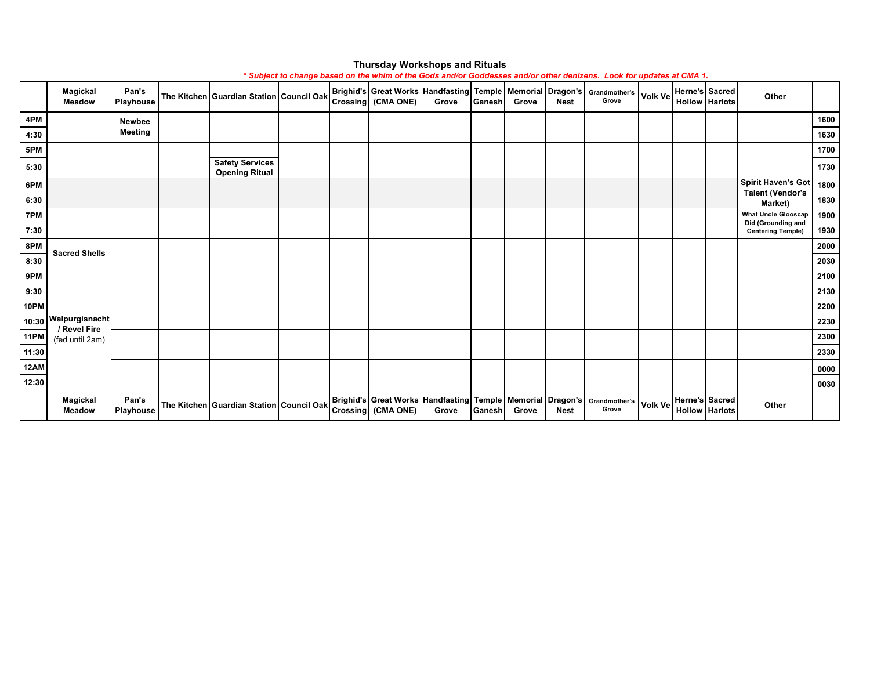|             |                                  |                    |                                                 |  |                                                                                                       |       |        |       |             | * Subject to change based on the whim of the Gods and/or Goddesses and/or other denizens. Look for updates at CMA 1. |                |                                         |                                                  |      |
|-------------|----------------------------------|--------------------|-------------------------------------------------|--|-------------------------------------------------------------------------------------------------------|-------|--------|-------|-------------|----------------------------------------------------------------------------------------------------------------------|----------------|-----------------------------------------|--------------------------------------------------|------|
|             | <b>Magickal</b><br><b>Meadow</b> | Pan's<br>Playhouse | The Kitchen Guardian Station Council Oak        |  | Crossing (CMA ONE)                                                                                    | Grove | Ganesh | Grove | <b>Nest</b> | <b>Brighid's Great Works Handfasting Temple Memorial Dragon's Grandmother's</b><br>Grove                             | <b>Volk Ve</b> | Herne's Sacred<br><b>Hollow Harlots</b> | Other                                            |      |
| 4PM         |                                  | <b>Newbee</b>      |                                                 |  |                                                                                                       |       |        |       |             |                                                                                                                      |                |                                         |                                                  | 1600 |
| 4:30        |                                  | Meeting            |                                                 |  |                                                                                                       |       |        |       |             |                                                                                                                      |                |                                         |                                                  | 1630 |
| 5PM         |                                  |                    |                                                 |  |                                                                                                       |       |        |       |             |                                                                                                                      |                |                                         |                                                  | 1700 |
| 5:30        |                                  |                    | <b>Safety Services</b><br><b>Opening Ritual</b> |  |                                                                                                       |       |        |       |             |                                                                                                                      |                |                                         |                                                  | 1730 |
| 6PM         |                                  |                    |                                                 |  |                                                                                                       |       |        |       |             |                                                                                                                      |                |                                         | <b>Spirit Haven's Got</b>                        | 1800 |
| 6:30        |                                  |                    |                                                 |  |                                                                                                       |       |        |       |             |                                                                                                                      |                |                                         | <b>Talent (Vendor's</b><br>Market)               | 1830 |
| 7PM         |                                  |                    |                                                 |  |                                                                                                       |       |        |       |             |                                                                                                                      |                |                                         | <b>What Uncle Glooscap</b><br>Did (Grounding and | 1900 |
| 7:30        |                                  |                    |                                                 |  |                                                                                                       |       |        |       |             |                                                                                                                      |                |                                         | <b>Centering Temple)</b>                         | 1930 |
| 8PM         | <b>Sacred Shells</b>             |                    |                                                 |  |                                                                                                       |       |        |       |             |                                                                                                                      |                |                                         |                                                  | 2000 |
| 8:30        |                                  |                    |                                                 |  |                                                                                                       |       |        |       |             |                                                                                                                      |                |                                         |                                                  | 2030 |
| 9PM         |                                  |                    |                                                 |  |                                                                                                       |       |        |       |             |                                                                                                                      |                |                                         |                                                  | 2100 |
| 9:30        |                                  |                    |                                                 |  |                                                                                                       |       |        |       |             |                                                                                                                      |                |                                         |                                                  | 2130 |
| 10PM        |                                  |                    |                                                 |  |                                                                                                       |       |        |       |             |                                                                                                                      |                |                                         |                                                  | 2200 |
| 10:30       | Walpurgisnacht<br>/ Revel Fire   |                    |                                                 |  |                                                                                                       |       |        |       |             |                                                                                                                      |                |                                         |                                                  | 2230 |
| <b>11PM</b> | (fed until 2am)                  |                    |                                                 |  |                                                                                                       |       |        |       |             |                                                                                                                      |                |                                         |                                                  | 2300 |
| 11:30       |                                  |                    |                                                 |  |                                                                                                       |       |        |       |             |                                                                                                                      |                |                                         |                                                  | 2330 |
| <b>12AM</b> |                                  |                    |                                                 |  |                                                                                                       |       |        |       |             |                                                                                                                      |                |                                         |                                                  | 0000 |
| 12:30       |                                  |                    |                                                 |  |                                                                                                       |       |        |       |             |                                                                                                                      |                |                                         |                                                  | 0030 |
|             | <b>Magickal</b><br><b>Meadow</b> | Pan's<br>Playhouse | The Kitchen Guardian Station Council Oak        |  | <b>Brighid's Great Works Handfasting Temple Memorial Dragon's Grandmother's</b><br>Crossing (CMA ONE) | Grove | Ganesh | Grove | <b>Nest</b> | Grove                                                                                                                | Volk Ve        | Herne's Sacred<br><b>Hollow Harlots</b> | Other                                            |      |

## **Thursday Workshops and Rituals**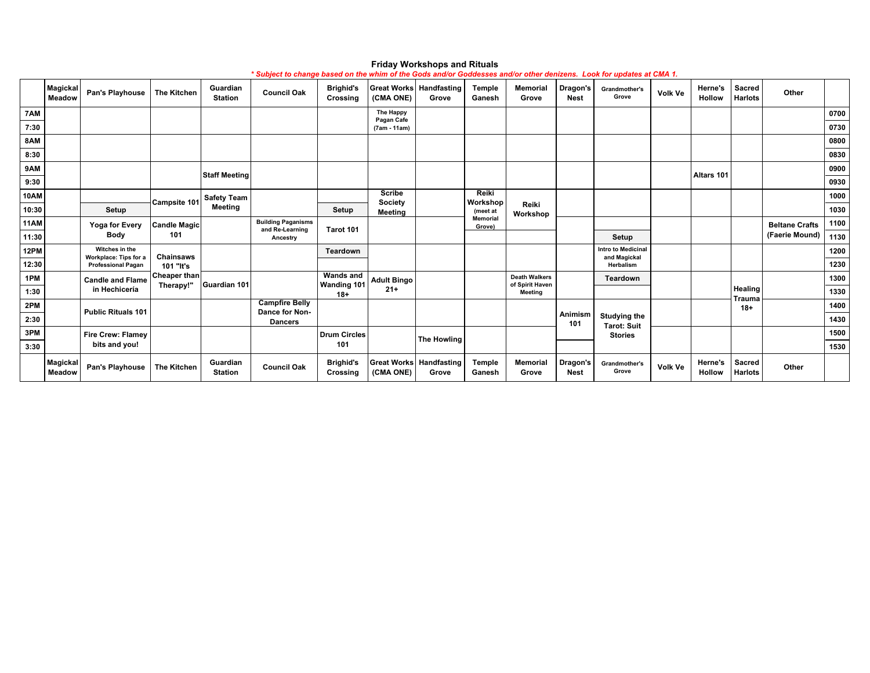|             | Magickal<br><b>Meadow</b> | Pan's Playhouse                         | <b>The Kitchen</b>  | Guardian<br><b>Station</b> | <b>Council Oak</b>                           | <b>Brighid's</b><br>Crossing | (CMA ONE)                       | <b>Great Works Handfasting</b><br>Grove | <b>Temple</b><br>Ganesh   | <b>Memorial</b><br>Grove                | Dragon's<br><b>Nest</b> | Grandmother's<br>Grove                    | <b>Volk Ve</b> | Herne's<br><b>Hollow</b> | <b>Sacred</b><br><b>Harlots</b> | Other                 |      |
|-------------|---------------------------|-----------------------------------------|---------------------|----------------------------|----------------------------------------------|------------------------------|---------------------------------|-----------------------------------------|---------------------------|-----------------------------------------|-------------------------|-------------------------------------------|----------------|--------------------------|---------------------------------|-----------------------|------|
| 7AM         |                           |                                         |                     |                            |                                              |                              | The Happy<br>Pagan Cafe         |                                         |                           |                                         |                         |                                           |                |                          |                                 |                       | 0700 |
| 7:30        |                           |                                         |                     |                            |                                              |                              | (7am - 11am)                    |                                         |                           |                                         |                         |                                           |                |                          |                                 |                       | 0730 |
| 8AM         |                           |                                         |                     |                            |                                              |                              |                                 |                                         |                           |                                         |                         |                                           |                |                          |                                 |                       | 0800 |
| 8:30        |                           |                                         |                     |                            |                                              |                              |                                 |                                         |                           |                                         |                         |                                           |                |                          |                                 |                       | 0830 |
| 9AM         |                           |                                         |                     | <b>Staff Meeting</b>       |                                              |                              |                                 |                                         |                           |                                         |                         |                                           |                | Altars 101               |                                 |                       | 0900 |
| 9:30        |                           |                                         |                     |                            |                                              |                              |                                 |                                         |                           |                                         |                         |                                           |                |                          |                                 |                       | 0930 |
| <b>10AM</b> |                           |                                         |                     | <b>Safety Team</b>         |                                              |                              | <b>Scribe</b><br><b>Society</b> |                                         | Reiki                     |                                         |                         |                                           |                |                          |                                 |                       | 1000 |
| 10:30       |                           | Setup                                   | Campsite 101        | <b>Meeting</b>             |                                              | Setup                        | <b>Meeting</b>                  |                                         | Workshop<br>(meet at      | Reiki<br>Workshop                       |                         |                                           |                |                          |                                 |                       | 1030 |
| 11AM        |                           | <b>Yoga for Every</b>                   | <b>Candle Magic</b> |                            | <b>Building Paganisms</b><br>and Re-Learning | Tarot 101                    |                                 |                                         | <b>Memorial</b><br>Grove) |                                         |                         |                                           |                |                          |                                 | <b>Beltane Crafts</b> | 1100 |
| 11:30       |                           | <b>Body</b>                             | 101                 |                            | Ancestry                                     |                              |                                 |                                         |                           |                                         |                         | Setup                                     |                |                          |                                 | (Faerie Mound)        | 1130 |
| 12PM        |                           | Witches in the<br>Workplace: Tips for a | <b>Chainsaws</b>    |                            |                                              | Teardown                     |                                 |                                         |                           |                                         |                         | <b>Intro to Medicinal</b><br>and Magickal |                |                          |                                 |                       | 1200 |
| 12:30       |                           | <b>Professional Pagan</b>               | 101 "It's           |                            |                                              |                              |                                 |                                         |                           |                                         |                         | Herbalism                                 |                |                          |                                 |                       | 1230 |
| 1PM         |                           | <b>Candle and Flame</b>                 | <b>Cheaper than</b> |                            |                                              | <b>Wands and</b>             | <b>Adult Bingo</b>              |                                         |                           | <b>Death Walkers</b><br>of Spirit Haven |                         | Teardown                                  |                |                          |                                 |                       | 1300 |
| 1:30        |                           | in Hechicería                           | Therapy!"           | Guardian 101               |                                              | <b>Wanding 101</b><br>$18+$  | $21+$                           |                                         |                           | Meeting                                 |                         |                                           |                |                          | Healing                         |                       | 1330 |
| 2PM         |                           |                                         |                     |                            | <b>Campfire Belly</b><br>Dance for Non-      |                              |                                 |                                         |                           |                                         |                         |                                           |                |                          | Trauma<br>$18+$                 |                       | 1400 |
| 2:30        |                           | <b>Public Rituals 101</b>               |                     |                            | <b>Dancers</b>                               |                              |                                 |                                         |                           |                                         | Animism<br>101          | <b>Studying the</b><br><b>Tarot: Suit</b> |                |                          |                                 |                       | 1430 |
| 3PM         |                           | Fire Crew: Flamey                       |                     |                            |                                              | <b>Drum Circles</b>          |                                 |                                         |                           |                                         |                         | <b>Stories</b>                            |                |                          |                                 |                       | 1500 |
| 3:30        |                           | bits and you!                           |                     |                            |                                              | 101                          |                                 | <b>The Howling</b>                      |                           |                                         |                         |                                           |                |                          |                                 |                       | 1530 |
|             | Magickal<br>Meadow        | Pan's Playhouse                         | <b>The Kitchen</b>  | Guardian<br><b>Station</b> | <b>Council Oak</b>                           | <b>Brighid's</b><br>Crossing | (CMA ONE)                       | <b>Great Works Handfasting</b><br>Grove | Temple<br>Ganesh          | <b>Memorial</b><br>Grove                | Dragon's<br><b>Nest</b> | Grandmother's<br>Grove                    | <b>Volk Ve</b> | Herne's<br><b>Hollow</b> | Sacred<br><b>Harlots</b>        | Other                 |      |

#### **Friday Workshops and Rituals**

*\* Subject to change based on the whim of the Gods and/or Goddesses and/or other denizens. Look for updates at CMA 1.*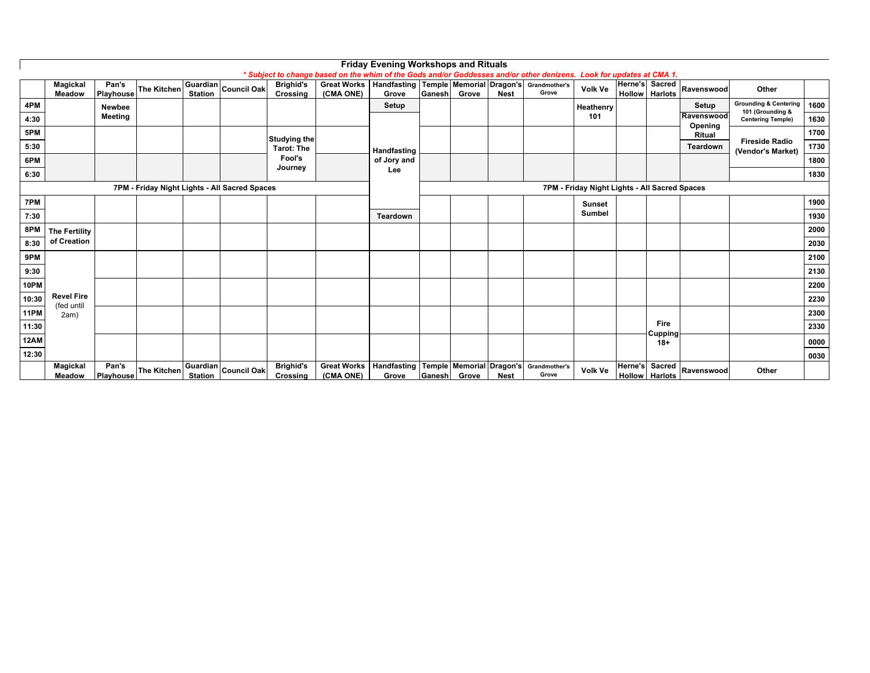|             |                                 |                    |                    |                |                                               |                              |                                                                                                                      | <b>Friday Evening Workshops and Rituals</b> |        |                                   |             |                        |                                               |  |                                  |            |                                                      |      |
|-------------|---------------------------------|--------------------|--------------------|----------------|-----------------------------------------------|------------------------------|----------------------------------------------------------------------------------------------------------------------|---------------------------------------------|--------|-----------------------------------|-------------|------------------------|-----------------------------------------------|--|----------------------------------|------------|------------------------------------------------------|------|
|             |                                 |                    |                    |                |                                               |                              | * Subject to change based on the whim of the Gods and/or Goddesses and/or other denizens. Look for updates at CMA 1. |                                             |        |                                   |             |                        |                                               |  |                                  |            |                                                      |      |
|             | Magickal                        | Pan's              | <b>The Kitchen</b> |                | Guardian Council Oak                          | <b>Brighid's</b>             | Great Works   Handfasting   Temple   Memorial   Dragon's   Grandmother's                                             |                                             |        |                                   |             |                        | Volk Ve                                       |  | Herne's Sacred                   | Ravenswood | Other                                                |      |
|             | <b>Meadow</b>                   | Playhouse          |                    | <b>Station</b> |                                               | Crossing                     | (CMA ONE)                                                                                                            | Grove                                       | Ganesh | Grove                             | <b>Nest</b> | Grove                  |                                               |  | <b>Hollow Harlots</b>            |            |                                                      |      |
| 4PM         |                                 | <b>Newbee</b>      |                    |                |                                               |                              |                                                                                                                      | Setup                                       |        |                                   |             |                        | Heathenry                                     |  |                                  | Setup      | <b>Grounding &amp; Centering</b><br>101 (Grounding & | 1600 |
| 4:30        |                                 | Meeting            |                    |                |                                               |                              |                                                                                                                      |                                             |        |                                   |             |                        | 101                                           |  |                                  | Ravenswood | <b>Centering Temple)</b>                             | 1630 |
| 5PM         |                                 |                    |                    |                |                                               |                              |                                                                                                                      |                                             |        |                                   |             |                        |                                               |  |                                  | Opening    |                                                      | 1700 |
|             |                                 |                    |                    |                |                                               | <b>Studying the</b>          |                                                                                                                      |                                             |        |                                   |             |                        |                                               |  |                                  | Ritual     | <b>Fireside Radio</b>                                |      |
| 5:30        |                                 |                    |                    |                |                                               | <b>Tarot: The</b>            |                                                                                                                      | Handfasting                                 |        |                                   |             |                        |                                               |  |                                  | Teardown   | (Vendor's Market)                                    | 1730 |
| 6PM         |                                 |                    |                    |                | Fool's                                        |                              | of Jory and                                                                                                          |                                             |        |                                   |             |                        |                                               |  |                                  | 1800       |                                                      |      |
| 6:30        |                                 |                    |                    |                |                                               | Journey                      |                                                                                                                      | Lee                                         |        |                                   |             |                        |                                               |  |                                  |            |                                                      | 1830 |
|             |                                 |                    |                    |                | 7PM - Friday Night Lights - All Sacred Spaces |                              |                                                                                                                      |                                             |        |                                   |             |                        | 7PM - Friday Night Lights - All Sacred Spaces |  |                                  |            |                                                      |      |
| 7PM         |                                 |                    |                    |                |                                               |                              |                                                                                                                      |                                             |        |                                   |             |                        | <b>Sunset</b>                                 |  |                                  |            |                                                      | 1900 |
| 7:30        |                                 |                    |                    |                |                                               |                              |                                                                                                                      | Teardown                                    |        |                                   |             |                        | Sumbel                                        |  |                                  |            |                                                      | 1930 |
| 8PM         | <b>The Fertility</b>            |                    |                    |                |                                               |                              |                                                                                                                      |                                             |        |                                   |             |                        |                                               |  |                                  |            |                                                      | 2000 |
| 8:30        | of Creation                     |                    |                    |                |                                               |                              |                                                                                                                      |                                             |        |                                   |             |                        |                                               |  |                                  |            |                                                      | 2030 |
| 9PM         |                                 |                    |                    |                |                                               |                              |                                                                                                                      |                                             |        |                                   |             |                        |                                               |  |                                  |            |                                                      | 2100 |
|             |                                 |                    |                    |                |                                               |                              |                                                                                                                      |                                             |        |                                   |             |                        |                                               |  |                                  |            |                                                      |      |
| 9:30        |                                 |                    |                    |                |                                               |                              |                                                                                                                      |                                             |        |                                   |             |                        |                                               |  |                                  |            |                                                      | 2130 |
| 10PM        |                                 |                    |                    |                |                                               |                              |                                                                                                                      |                                             |        |                                   |             |                        |                                               |  |                                  |            |                                                      | 2200 |
| 10:30       | <b>Revel Fire</b><br>(fed until |                    |                    |                |                                               |                              |                                                                                                                      |                                             |        |                                   |             |                        |                                               |  |                                  |            |                                                      | 2230 |
| <b>11PM</b> | 2am)                            |                    |                    |                |                                               |                              |                                                                                                                      |                                             |        |                                   |             |                        |                                               |  |                                  |            |                                                      | 2300 |
| 11:30       |                                 |                    |                    |                |                                               |                              |                                                                                                                      |                                             |        |                                   |             |                        |                                               |  | Fire                             |            |                                                      | 2330 |
| 12AM        |                                 |                    |                    |                |                                               |                              |                                                                                                                      |                                             |        |                                   |             |                        |                                               |  | Cupping<br>$18+$                 |            |                                                      | 0000 |
| 12:30       |                                 |                    |                    |                |                                               |                              |                                                                                                                      |                                             |        |                                   |             |                        |                                               |  |                                  |            |                                                      | 0030 |
|             | Magickal<br><b>Meadow</b>       | Pan's<br>Playhouse | The Kitchen        | <b>Station</b> | Guardian Council Oak <sup>l</sup>             | <b>Brighid's</b><br>Crossing | <b>Great Works</b><br>(CMA ONE)                                                                                      | Handfasting<br>Grove                        | Ganesh | Temple Memorial Dragon's<br>Grove | <b>Nest</b> | Grandmother's<br>Grove | <b>Volk Ve</b>                                |  | Herne's Sacred<br>Hollow Harlots | Ravenswood | Other                                                |      |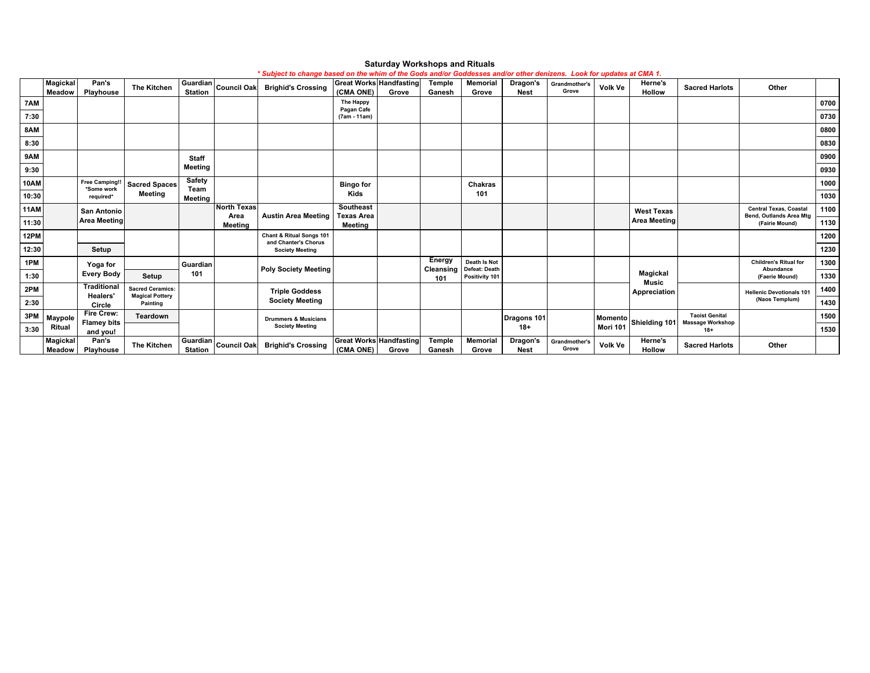|             | <b>Magickal</b>    | Pan's                               | <b>The Kitchen</b>                 |                            | Guardian Council Oak   | ouvject to change vased on the whill of the Gods and/or Goddesses and/or other demzens. Look for updates at ChiA-r.<br><b>Brighid's Crossing</b> |                                             | <b>Great Works Handfasting</b> | Temple           | Memorial                        | Dragon's                | Grandmother's          | Volk Ve        | Herne's                          | <b>Sacred Harlots</b> | Other                                                           |      |
|-------------|--------------------|-------------------------------------|------------------------------------|----------------------------|------------------------|--------------------------------------------------------------------------------------------------------------------------------------------------|---------------------------------------------|--------------------------------|------------------|---------------------------------|-------------------------|------------------------|----------------|----------------------------------|-----------------------|-----------------------------------------------------------------|------|
|             | Meadow             | Playhouse                           |                                    |                            |                        |                                                                                                                                                  | (CMA ONE)                                   | Grove                          | Ganesh           | Grove                           | <b>Nest</b>             | Grove                  |                | Hollow                           |                       |                                                                 |      |
| 7AM         |                    |                                     |                                    |                            |                        |                                                                                                                                                  | The Happy<br>Pagan Cafe                     |                                |                  |                                 |                         |                        |                |                                  |                       |                                                                 | 0700 |
| 7:30        |                    |                                     |                                    |                            |                        |                                                                                                                                                  | (7am - 11am)                                |                                |                  |                                 |                         |                        |                |                                  |                       |                                                                 | 0730 |
| 8AM         |                    |                                     |                                    |                            |                        |                                                                                                                                                  |                                             |                                |                  |                                 |                         |                        |                |                                  |                       |                                                                 | 0800 |
| 8:30        |                    |                                     |                                    |                            |                        |                                                                                                                                                  |                                             |                                |                  |                                 |                         |                        |                |                                  |                       |                                                                 | 0830 |
| 9AM         |                    |                                     |                                    | <b>Staff</b>               |                        |                                                                                                                                                  |                                             |                                |                  |                                 |                         |                        |                |                                  |                       |                                                                 | 0900 |
| 9:30        |                    |                                     |                                    | Meeting                    |                        |                                                                                                                                                  |                                             |                                |                  |                                 |                         |                        |                |                                  |                       |                                                                 | 0930 |
| <b>10AM</b> |                    | <b>Free Camping!!</b><br>*Some work | <b>Sacred Spaces</b>               | Safety<br>Team             |                        |                                                                                                                                                  | <b>Bingo for</b>                            |                                |                  | Chakras                         |                         |                        |                |                                  |                       |                                                                 | 1000 |
| 10:30       |                    | required*                           | <b>Meeting</b>                     | Meeting                    |                        |                                                                                                                                                  | Kids                                        |                                |                  | 101                             |                         |                        |                |                                  |                       |                                                                 | 1030 |
| <b>11AM</b> |                    | San Antonio                         |                                    |                            | <b>North Texas</b>     | <b>Austin Area Meeting</b>                                                                                                                       | Southeast                                   |                                |                  |                                 |                         |                        |                | <b>West Texas</b>                |                       | <b>Central Texas, Coastal</b><br><b>Bend, Outlands Area Mtg</b> | 1100 |
| 11:30       |                    | <b>Area Meeting</b>                 |                                    |                            | Area<br>Meeting        |                                                                                                                                                  | <b>Texas Area</b><br>Meeting                |                                |                  |                                 |                         |                        |                | <b>Area Meeting</b>              |                       | (Fairie Mound)                                                  | 1130 |
| 12PM        |                    |                                     |                                    |                            |                        | Chant & Ritual Songs 101<br>and Chanter's Chorus                                                                                                 |                                             |                                |                  |                                 |                         |                        |                |                                  |                       |                                                                 | 1200 |
| 12:30       |                    | Setup                               |                                    |                            |                        | <b>Society Meeting</b>                                                                                                                           |                                             |                                |                  |                                 |                         |                        |                |                                  |                       |                                                                 | 1230 |
| 1PM         |                    | Yoga for                            |                                    | Guardian                   |                        |                                                                                                                                                  |                                             |                                | Energy           | Death Is Not                    |                         |                        |                |                                  |                       | <b>Children's Ritual for</b>                                    | 1300 |
| 1:30        |                    | <b>Every Body</b>                   | Setup                              | 101                        |                        | <b>Poly Society Meeting</b>                                                                                                                      |                                             |                                | Cleansing<br>101 | Defeat: Death<br>Positivity 101 |                         |                        |                | Magickal<br><b>Music</b>         |                       | Abundance<br>(Faerie Mound)                                     | 1330 |
| 2PM         |                    | <b>Traditional</b>                  | <b>Sacred Ceramics:</b>            |                            |                        | <b>Triple Goddess</b>                                                                                                                            |                                             |                                |                  |                                 |                         |                        |                | Appreciation                     |                       | <b>Hellenic Devotionals 101</b>                                 | 1400 |
| 2:30        |                    | <b>Healers'</b><br>Circle           | <b>Magical Pottery</b><br>Painting |                            |                        | <b>Society Meeting</b>                                                                                                                           |                                             |                                |                  |                                 |                         |                        |                |                                  |                       | (Naos Templum)                                                  | 1430 |
| 3PM         | Maypole            | Fire Crew:                          | <b>Teardown</b>                    |                            |                        | <b>Drummers &amp; Musicians</b>                                                                                                                  |                                             |                                |                  |                                 | Dragons 101             |                        |                | Momento Shielding 101            | <b>Taoist Genital</b> |                                                                 | 1500 |
| 3:30        | Ritual             | <b>Flamey bits</b><br>and you!      |                                    |                            | <b>Society Meeting</b> |                                                                                                                                                  |                                             |                                |                  | $18 +$                          |                         | Mori 101               |                | <b>Massage Workshop</b><br>$18+$ |                       | 1530                                                            |      |
|             | Magickal<br>Meadow | Pan's<br>Playhouse                  | <b>The Kitchen</b>                 | Guardian<br><b>Station</b> | <b>Council Oak</b>     | <b>Brighid's Crossing</b>                                                                                                                        | <b>Great Works Handfasting</b><br>(CMA ONE) | Grove                          | Temple<br>Ganesh | <b>Memorial</b><br>Grove        | Dragon's<br><b>Nest</b> | Grandmother's<br>Grove | <b>Volk Ve</b> | Herne's<br>Hollow                | <b>Sacred Harlots</b> | Other                                                           |      |

#### **Saturday Workshops and Rituals** *\* Subject to change based on the whim of the Gods and/or Goddesses and/or other denizens. Look for updates at CMA 1.*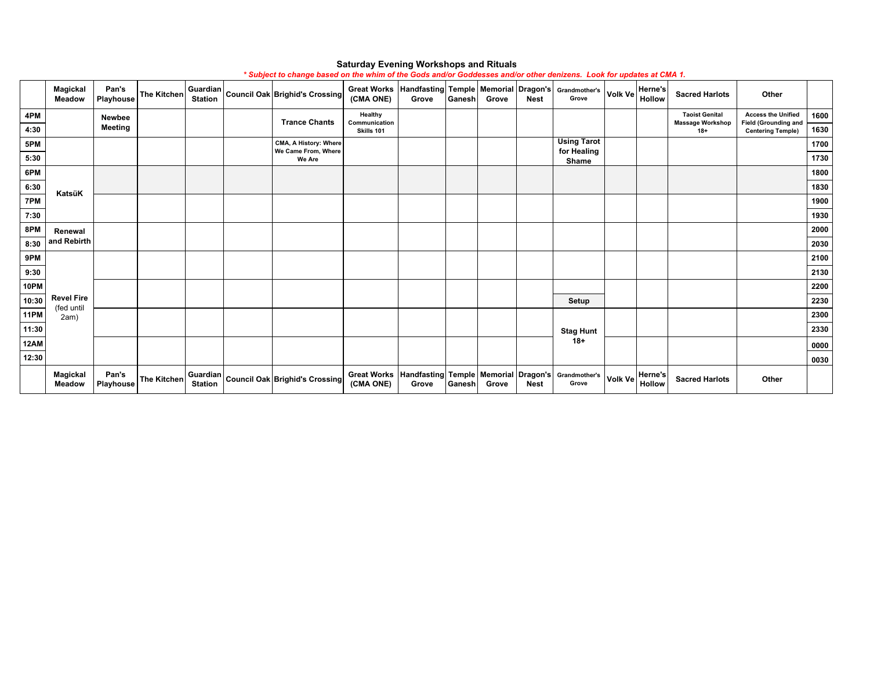|       | Magickal<br><b>Meadow</b>       | Pan's<br>Playhouse | The Kitchen        |  | $\boxed{\text{Guardian}}$ Council Oak Brighid's Crossing   | <b>Great Works</b><br>(CMA ONE) | Handfasting Temple   Memorial   Dragon's  <br>Grove | Ganesh | Grove | <b>Nest</b> | Grandmother's<br>Grove                                            | Volk Ve        | <b>Herne's</b><br><b>Hollow</b> | <b>Sacred Harlots</b>                            | Other                                                    |      |
|-------|---------------------------------|--------------------|--------------------|--|------------------------------------------------------------|---------------------------------|-----------------------------------------------------|--------|-------|-------------|-------------------------------------------------------------------|----------------|---------------------------------|--------------------------------------------------|----------------------------------------------------------|------|
| 4PM   |                                 | Newbee             |                    |  | <b>Trance Chants</b>                                       | Healthy<br>Communication        |                                                     |        |       |             |                                                                   |                |                                 | <b>Taoist Genital</b><br><b>Massage Workshop</b> | <b>Access the Unified</b><br><b>Field (Grounding and</b> | 1600 |
| 4:30  |                                 | <b>Meeting</b>     |                    |  |                                                            | Skills 101                      |                                                     |        |       |             |                                                                   |                |                                 | $18+$                                            | <b>Centering Temple)</b>                                 | 1630 |
| 5PM   |                                 |                    |                    |  | CMA, A History: Where<br>We Came From, Where               |                                 |                                                     |        |       |             | <b>Using Tarot</b><br>for Healing                                 |                |                                 |                                                  |                                                          | 1700 |
| 5:30  |                                 |                    |                    |  | We Are                                                     |                                 |                                                     |        |       |             | Shame                                                             |                |                                 |                                                  |                                                          | 1730 |
| 6PM   |                                 |                    |                    |  |                                                            |                                 |                                                     |        |       |             |                                                                   |                |                                 |                                                  |                                                          | 1800 |
| 6:30  | KatsüK                          |                    |                    |  |                                                            |                                 |                                                     |        |       |             |                                                                   |                |                                 |                                                  |                                                          | 1830 |
| 7PM   |                                 |                    |                    |  |                                                            |                                 |                                                     |        |       |             |                                                                   |                |                                 |                                                  |                                                          | 1900 |
| 7:30  |                                 |                    |                    |  |                                                            |                                 |                                                     |        |       |             |                                                                   |                |                                 |                                                  |                                                          | 1930 |
| 8PM   | Renewal                         |                    |                    |  |                                                            |                                 |                                                     |        |       |             |                                                                   |                |                                 |                                                  |                                                          | 2000 |
| 8:30  | and Rebirth                     |                    |                    |  |                                                            |                                 |                                                     |        |       |             |                                                                   |                |                                 |                                                  |                                                          | 2030 |
| 9PM   |                                 |                    |                    |  |                                                            |                                 |                                                     |        |       |             |                                                                   |                |                                 |                                                  |                                                          | 2100 |
| 9:30  |                                 |                    |                    |  |                                                            |                                 |                                                     |        |       |             |                                                                   |                |                                 |                                                  |                                                          | 2130 |
| 10PM  |                                 |                    |                    |  |                                                            |                                 |                                                     |        |       |             |                                                                   |                |                                 |                                                  |                                                          | 2200 |
| 10:30 | <b>Revel Fire</b><br>(fed until |                    |                    |  |                                                            |                                 |                                                     |        |       |             | Setup                                                             |                |                                 |                                                  |                                                          | 2230 |
| 11PM  | 2am)                            |                    |                    |  |                                                            |                                 |                                                     |        |       |             |                                                                   |                |                                 |                                                  |                                                          | 2300 |
| 11:30 |                                 |                    |                    |  |                                                            |                                 |                                                     |        |       |             | <b>Stag Hunt</b>                                                  |                |                                 |                                                  |                                                          | 2330 |
| 12AM  |                                 |                    |                    |  |                                                            |                                 |                                                     |        |       |             | $18+$                                                             |                |                                 |                                                  |                                                          | 0000 |
| 12:30 |                                 |                    |                    |  |                                                            |                                 |                                                     |        |       |             |                                                                   |                |                                 |                                                  |                                                          | 0030 |
|       | Magickal<br><b>Meadow</b>       | Pan's<br>Playhouse | <b>The Kitchen</b> |  | $\boxed{\textsf{Guardian}}$ Council Oak Brighid's Crossing | <b>Great Works</b><br>(CMA ONE) | Grove                                               | Ganesh | Grove | <b>Nest</b> | Handfasting Temple   Memorial   Dragon's   Grandmother's<br>Grove | <b>Volk Ve</b> | <b>Herne's</b><br><b>Hollow</b> | <b>Sacred Harlots</b>                            | Other                                                    |      |

### **Saturday Evening Workshops and Rituals**

*\* Subject to change based on the whim of the Gods and/or Goddesses and/or other denizens. Look for updates at CMA 1.*